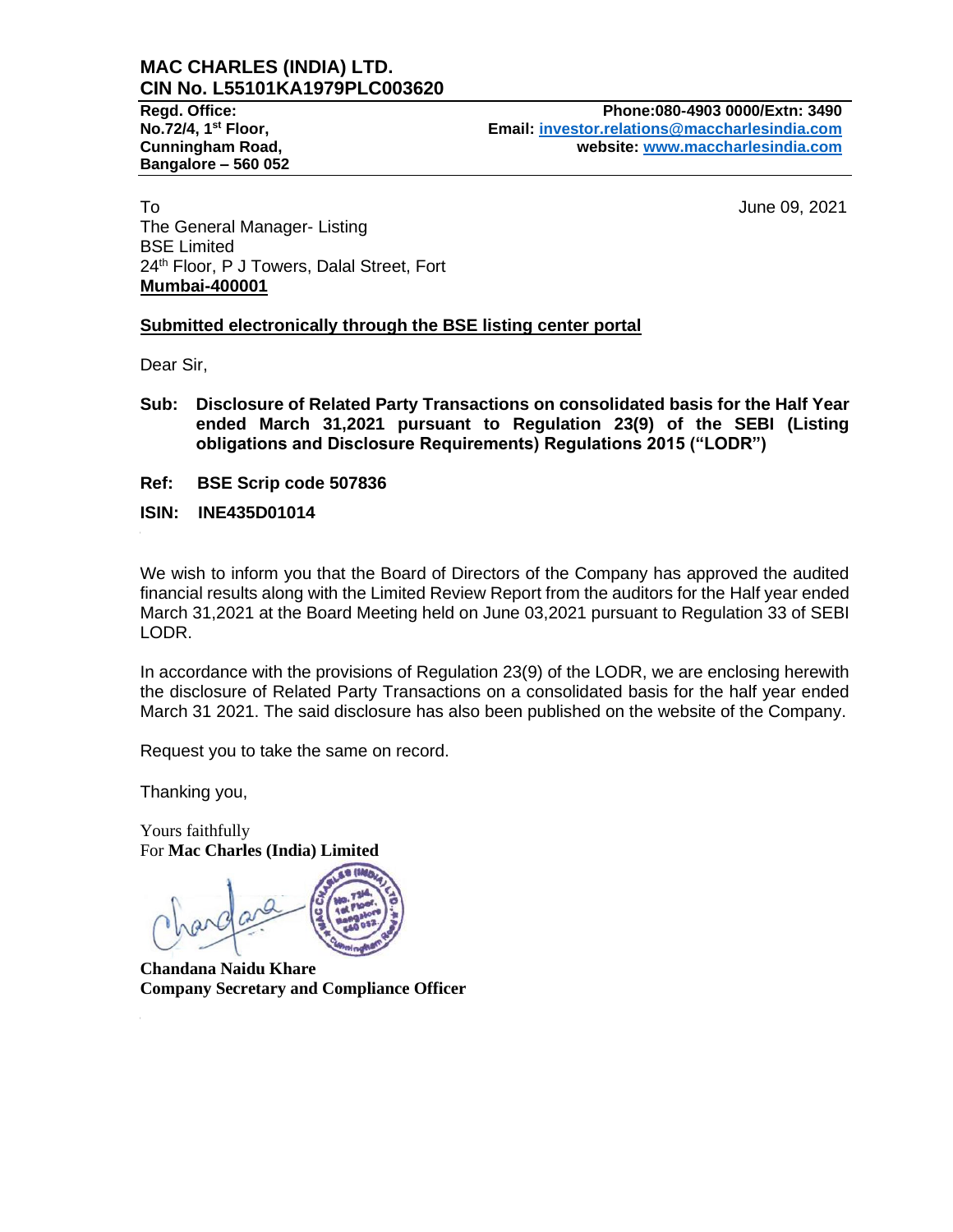# **MAC CHARLES (INDIA) LTD. CIN No. L55101KA1979PLC003620**

**Bangalore – 560 052**

**Regd. Office: Phone:080-4903 0000/Extn: 3490 No.72/4, 1st Floor, Email: [investor.relations@maccharlesindia.com](mailto:investor.relations@maccharlesindia.com) Cunningham Road, website: [www.maccharlesindia.com](http://www.maccharlesindia.com/)**

To June 09, 2021 The General Manager- Listing BSE Limited 24<sup>th</sup> Floor, P J Towers, Dalal Street, Fort **Mumbai-400001**

# **Submitted electronically through the BSE listing center portal**

Dear Sir,

- **Sub: Disclosure of Related Party Transactions on consolidated basis for the Half Year ended March 31,2021 pursuant to Regulation 23(9) of the SEBI (Listing obligations and Disclosure Requirements) Regulations 2015 ("LODR")**
- **Ref: BSE Scrip code 507836**
- **ISIN: INE435D01014**

We wish to inform you that the Board of Directors of the Company has approved the audited financial results along with the Limited Review Report from the auditors for the Half year ended March 31,2021 at the Board Meeting held on June 03,2021 pursuant to Regulation 33 of SEBI LODR.

In accordance with the provisions of Regulation 23(9) of the LODR, we are enclosing herewith the disclosure of Related Party Transactions on a consolidated basis for the half year ended March 31 2021. The said disclosure has also been published on the website of the Company.

Request you to take the same on record.

Thanking you,

Yours faithfully For **Mac Charles (India) Limited**

**Chandana Naidu Khare Company Secretary and Compliance Officer**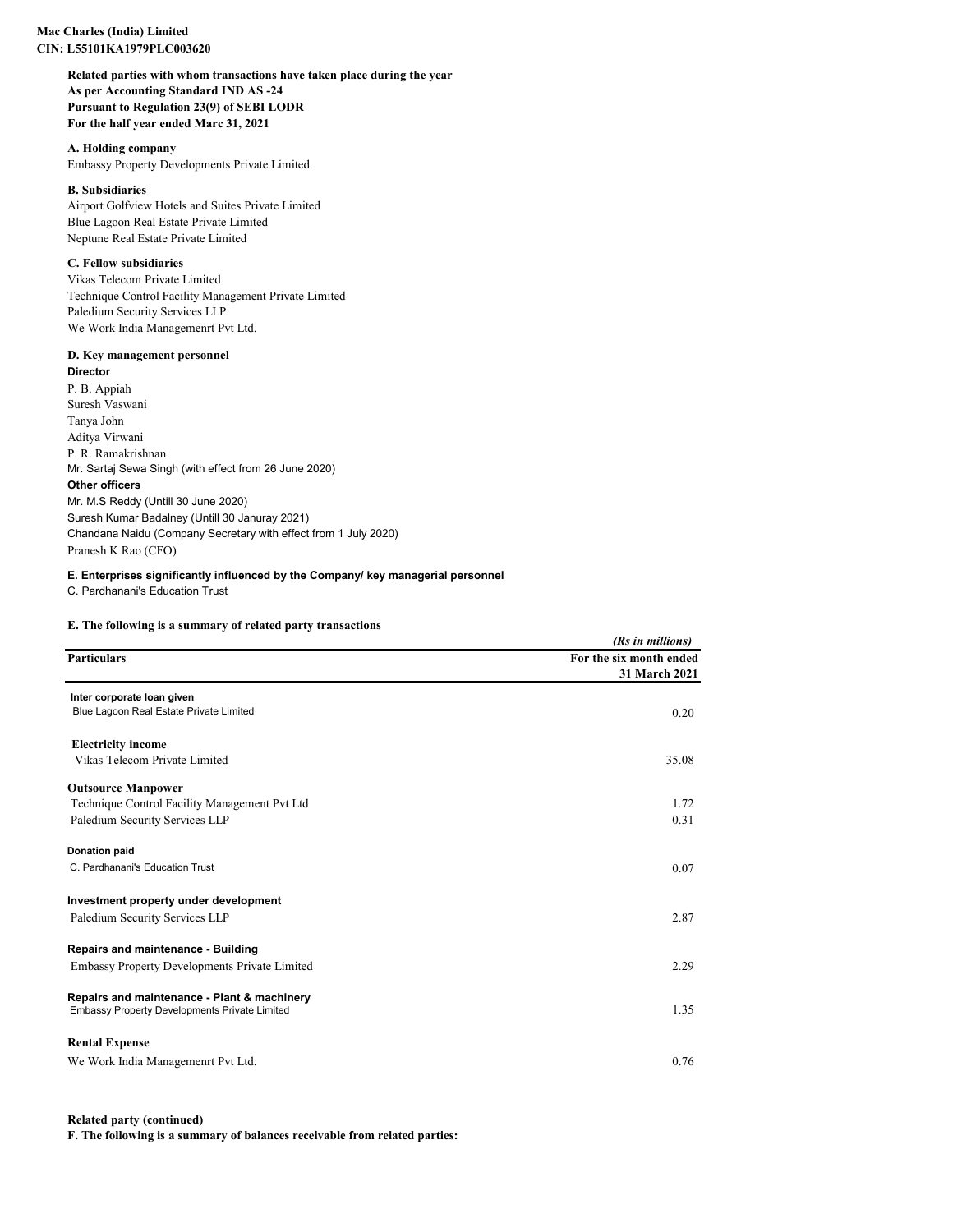#### **Mac Charles (India) Limited CIN: L55101KA1979PLC003620**

**Related parties with whom transactions have taken place during the year As per Accounting Standard IND AS -24 Pursuant to Regulation 23(9) of SEBI LODR For the half year ended Marc 31, 2021**

## **A. Holding company**

Embassy Property Developments Private Limited

# **B. Subsidiaries**

Airport Golfview Hotels and Suites Private Limited Blue Lagoon Real Estate Private Limited Neptune Real Estate Private Limited

## **C. Fellow subsidiaries**

Vikas Telecom Private Limited Technique Control Facility Management Private Limited Paledium Security Services LLP We Work India Managemenrt Pvt Ltd.

### **D. Key management personnel**

**Director** P. B. Appiah Suresh Vaswani Tanya John Aditya Virwani P. R. Ramakrishnan Mr. Sartaj Sewa Singh (with effect from 26 June 2020) **Other officers** Mr. M.S Reddy (Untill 30 June 2020) Suresh Kumar Badalney (Untill 30 Januray 2021) Chandana Naidu (Company Secretary with effect from 1 July 2020) Pranesh K Rao (CFO)

### **E. Enterprises significantly influenced by the Company/ key managerial personnel**

C. Pardhanani's Education Trust

## **E. The following is a summary of related party transactions**

|                                                                                                     | (Rs in millions)                         |
|-----------------------------------------------------------------------------------------------------|------------------------------------------|
| <b>Particulars</b>                                                                                  | For the six month ended<br>31 March 2021 |
| Inter corporate loan given                                                                          |                                          |
| Blue Lagoon Real Estate Private Limited                                                             | 0.20                                     |
| <b>Electricity income</b>                                                                           |                                          |
| Vikas Telecom Private Limited                                                                       | 35.08                                    |
| <b>Outsource Manpower</b>                                                                           |                                          |
| Technique Control Facility Management Pvt Ltd                                                       | 1.72                                     |
| Paledium Security Services LLP                                                                      | 0.31                                     |
| <b>Donation paid</b>                                                                                |                                          |
| C. Pardhanani's Education Trust                                                                     | 0.07                                     |
| Investment property under development                                                               |                                          |
| Paledium Security Services LLP                                                                      | 2.87                                     |
| Repairs and maintenance - Building                                                                  |                                          |
| <b>Embassy Property Developments Private Limited</b>                                                | 2.29                                     |
| Repairs and maintenance - Plant & machinery<br><b>Embassy Property Developments Private Limited</b> | 1.35                                     |
| <b>Rental Expense</b>                                                                               |                                          |
| We Work India Managemenrt Pvt Ltd.                                                                  | 0.76                                     |

#### **Related party (continued)**

**F. The following is a summary of balances receivable from related parties:**